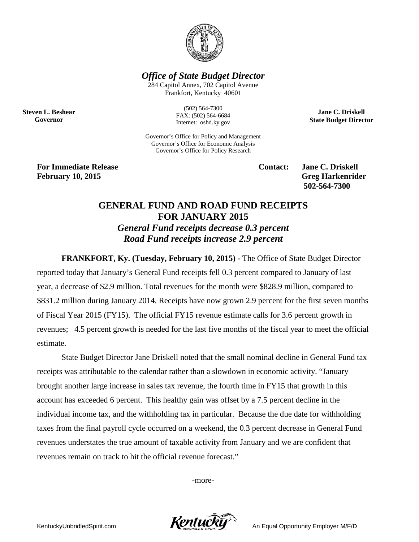

*Office of State Budget Director*

284 Capitol Annex, 702 Capitol Avenue Frankfort, Kentucky 40601

**Steven L. Beshear Governor**

(502) 564-7300 FAX: (502) 564-6684 Internet: osbd.ky.gov

Governor's Office for Policy and Management Governor's Office for Economic Analysis Governor's Office for Policy Research

**For Immediate Release Contact: Jane C. Driskell February 10, 2015 Greg Harkenrider**

**502-564-7300** 

**Jane C. Driskell State Budget Director**

## **GENERAL FUND AND ROAD FUND RECEIPTS FOR JANUARY 2015**

*General Fund receipts decrease 0.3 percent Road Fund receipts increase 2.9 percent*

**FRANKFORT, Ky. (Tuesday, February 10, 2015) -** The Office of State Budget Director reported today that January's General Fund receipts fell 0.3 percent compared to January of last year, a decrease of \$2.9 million. Total revenues for the month were \$828.9 million, compared to \$831.2 million during January 2014. Receipts have now grown 2.9 percent for the first seven months of Fiscal Year 2015 (FY15). The official FY15 revenue estimate calls for 3.6 percent growth in revenues; 4.5 percent growth is needed for the last five months of the fiscal year to meet the official estimate.

State Budget Director Jane Driskell noted that the small nominal decline in General Fund tax receipts was attributable to the calendar rather than a slowdown in economic activity. "January brought another large increase in sales tax revenue, the fourth time in FY15 that growth in this account has exceeded 6 percent. This healthy gain was offset by a 7.5 percent decline in the individual income tax, and the withholding tax in particular. Because the due date for withholding taxes from the final payroll cycle occurred on a weekend, the 0.3 percent decrease in General Fund revenues understates the true amount of taxable activity from January and we are confident that revenues remain on track to hit the official revenue forecast."

-more-

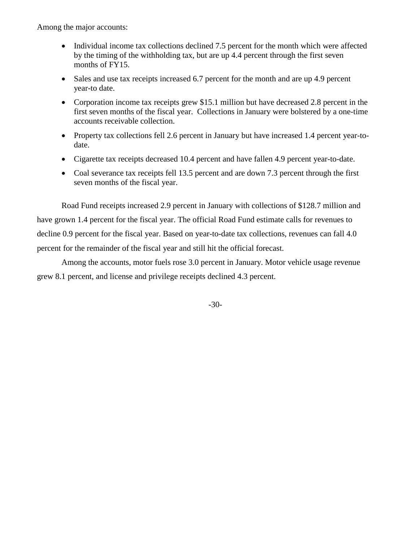Among the major accounts:

- Individual income tax collections declined 7.5 percent for the month which were affected by the timing of the withholding tax, but are up 4.4 percent through the first seven months of FY15.
- Sales and use tax receipts increased 6.7 percent for the month and are up 4.9 percent year-to date.
- Corporation income tax receipts grew \$15.1 million but have decreased 2.8 percent in the first seven months of the fiscal year. Collections in January were bolstered by a one-time accounts receivable collection.
- Property tax collections fell 2.6 percent in January but have increased 1.4 percent year-todate.
- Cigarette tax receipts decreased 10.4 percent and have fallen 4.9 percent year-to-date.
- Coal severance tax receipts fell 13.5 percent and are down 7.3 percent through the first seven months of the fiscal year.

Road Fund receipts increased 2.9 percent in January with collections of \$128.7 million and have grown 1.4 percent for the fiscal year. The official Road Fund estimate calls for revenues to decline 0.9 percent for the fiscal year. Based on year-to-date tax collections, revenues can fall 4.0 percent for the remainder of the fiscal year and still hit the official forecast.

Among the accounts, motor fuels rose 3.0 percent in January. Motor vehicle usage revenue grew 8.1 percent, and license and privilege receipts declined 4.3 percent.

-30-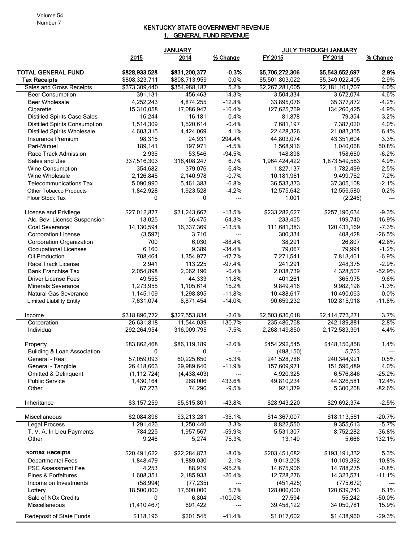## KENTUCKY STATE GOVERNMENT REVENUE 1. GENERAL FUND REVENUE

|                                                                             | <b>JANUARY</b>              |                             | <b>JULY THROUGH JANUARY</b> |                                |                                |                   |
|-----------------------------------------------------------------------------|-----------------------------|-----------------------------|-----------------------------|--------------------------------|--------------------------------|-------------------|
|                                                                             | 2015                        | 2014                        | % Change                    | FY 2015                        | FY 2014                        | % Change          |
| <b>TOTAL GENERAL FUND</b>                                                   | \$828,933,528               | \$831,200,377               | $-0.3%$                     | \$5,706,272,306                | \$5,543,652,697                | 2.9%              |
| <b>Tax Receipts</b>                                                         | \$808,323,711               | \$808,713,959               | 0.0%                        | \$5,501,803,022                | \$5,349,022,405                | 2.9%              |
| Sales and Gross Receipts                                                    | \$373,309,440               | \$354,968,187               | 5.2%                        | \$2,267,281,005                | \$2,181,101,707                | 4.0%              |
| <b>Beer Consumption</b>                                                     | 391,131                     | 456,463                     | $-14.3%$                    | 3,504,334                      | 3,672,074                      | -4.6%             |
| <b>Beer Wholesale</b>                                                       | 4,252,243                   | 4,874,255                   | $-12.8%$                    | 33,895,076                     | 35, 377, 872                   | $-4.2%$           |
| Cigarette                                                                   | 15,310,058                  | 17,086,947                  | $-10.4%$                    | 127,625,769                    | 134,260,425                    | $-4.9%$           |
| <b>Distilled Spirits Case Sales</b><br><b>Distilled Spirits Consumption</b> | 16,244<br>1,514,309         | 16,181                      | 0.4%<br>$-0.4%$             | 81,878<br>7,681,197            | 79,354<br>7,387,020            | 3.2%<br>4.0%      |
| <b>Distilled Spirits Wholesale</b>                                          | 4,603,315                   | 1,520,614<br>4,424,069      | 4.1%                        | 22,428,326                     | 21,083,355                     | 6.4%              |
| <b>Insurance Premium</b>                                                    | 98,315                      | 24,931                      | 294.4%                      | 44,803,074                     | 43,351,604                     | 3.3%              |
| Pari-Mutuel                                                                 | 189,141                     | 197,971                     | $-4.5%$                     | 1,568,916                      | 1,040,068                      | 50.8%             |
| Race Track Admission                                                        | 2,935                       | 53,546                      | $-94.5%$                    | 148,898                        | 158,660                        | $-6.2%$           |
| Sales and Use                                                               | 337,516,303                 | 316,408,247                 | 6.7%                        | 1,964,424,422                  | 1,873,549,583                  | 4.9%              |
| Wine Consumption                                                            | 354,682                     | 379,076                     | $-6.4%$                     | 1,827,137                      | 1,782,499                      | 2.5%              |
| Wine Wholesale                                                              | 2,126,845                   | 2,140,978                   | $-0.7%$                     | 10,181,961                     | 9,499,752                      | 7.2%              |
| <b>Telecommunications Tax</b>                                               | 5,090,990                   | 5,461,383                   | $-6.8%$                     | 36,533,373                     | 37,305,108                     | $-2.1%$           |
| <b>Other Tobacco Products</b>                                               | 1,842,928                   | 1,923,528                   | $-4.2%$                     | 12,575,642                     | 12,556,580                     | 0.2%              |
| Floor Stock Tax                                                             | 0                           | 0                           | ---                         | 1,001                          | (2, 246)                       | ---               |
|                                                                             |                             |                             |                             |                                |                                |                   |
| License and Privilege                                                       | \$27,012,877                | \$31,243,667                | $-13.5%$                    | \$233,282,627                  | \$257,190,634                  | $-9.3%$           |
| Alc. Bev. License Suspension                                                | 13,025                      | 36,475<br>16,337,369        | -64.3%                      | 233,455                        | 199,740                        | 16.9%             |
| Coal Severance                                                              | 14,130,594                  |                             | $-13.5%$                    | 111,681,383                    | 120,431,169                    | $-7.3%$           |
| <b>Corporation License</b>                                                  | (3,597)<br>700              | 3,710<br>6,030              | ---<br>$-88.4%$             | 300,334<br>38,291              | 408,428                        | $-26.5%$<br>42.8% |
| <b>Corporation Organization</b><br>Occupational Licenses                    | 6,160                       | 9,389                       | $-34.4%$                    | 79,067                         | 26,807<br>79,994               | $-1.2%$           |
| Oil Production                                                              | 708,464                     | 1,354,977                   | $-47.7%$                    | 7,271,541                      | 7,813,461                      | $-6.9%$           |
| Race Track License                                                          | 2,941                       | 113,225                     | $-97.4%$                    | 241,291                        | 248,375                        | $-2.9%$           |
| <b>Bank Franchise Tax</b>                                                   | 2,054,898                   | 2,062,196                   | $-0.4%$                     | 2,038,739                      | 4,328,507                      | $-52.9%$          |
| <b>Driver License Fees</b>                                                  | 49,555                      | 44,333                      | 11.8%                       | 401,261                        | 365,975                        | 9.6%              |
| <b>Minerals Severance</b>                                                   | 1,273,955                   | 1,105,614                   | 15.2%                       | 9,849,416                      | 9,982,198                      | $-1.3%$           |
| Natural Gas Severance                                                       | 1,145,109                   | 1,298,895                   | $-11.8%$                    | 10,488,617                     | 10,490,063                     | 0.0%              |
| <b>Limited Liability Entity</b>                                             | 7,631,074                   | 8,871,454                   | $-14.0%$                    | 90,659,232                     | 102,815,918                    | $-11.8%$          |
|                                                                             |                             |                             |                             |                                |                                |                   |
| Income                                                                      | \$318,896,772<br>26,631,818 | \$327,553,834<br>11,544,039 | $-2.6%$<br>130.7%           | \$2,503,636,618<br>235,486,768 | \$2,414,773,271<br>242,189,881 | 3.7%<br>-2.8%     |
| Corporation<br>Individual                                                   |                             | 316,009,795                 | $-7.5%$                     |                                |                                | 4.4%              |
|                                                                             | 292,264,954                 |                             |                             | 2,268,149,850                  | 2,172,583,391                  |                   |
| Property                                                                    | \$83,862,468                | \$86,119,189                | $-2.6%$                     | \$454,292,545                  | \$448,150,858                  | 1.4%              |
| <b>Building &amp; Loan Association</b>                                      | 0                           | 0                           | ---                         | (498, 150)                     | 5,753                          | ---               |
| General - Real                                                              | 57,059,093                  | 60,225,650                  | $-5.3%$                     | 241,528,786                    | 240,344,921                    | 0.5%              |
| General - Tangible                                                          | 26,418,663                  | 29,989,640                  | $-11.9%$                    | 157,609,971                    | 151,596,489                    | 4.0%              |
| Omitted & Delinquent                                                        | (1, 112, 724)               | (4, 438, 403)               | ---                         | 4,920,325                      | 6,576,846                      | $-25.2%$          |
| <b>Public Service</b>                                                       | 1,430,164                   | 268,006                     | 433.6%                      | 49,810,234                     | 44,326,581                     | 12.4%             |
| Other                                                                       | 67,273                      | 74,296                      | $-9.5%$                     | 921,379                        | 5,300,268                      | $-82.6%$          |
| Inheritance                                                                 | \$3,157,259                 | \$5,615,801                 | $-43.8%$                    | \$28,943,220                   | \$29,692,374                   | $-2.5%$           |
| Miscellaneous                                                               | \$2,084,896                 | \$3,213,281                 | $-35.1%$                    | \$14,367,007                   | \$18,113,561                   | $-20.7%$          |
| <b>Legal Process</b>                                                        | 1,291,426                   | 1,250,440                   | 3.3%                        | 8,822,550                      | 9,355,613                      | $-5.7\%$          |
| T. V. A. In Lieu Payments                                                   | 784,225                     | 1,957,567                   | $-59.9%$                    | 5,531,307                      | 8,752,282                      | $-36.8%$          |
| Other                                                                       | 9,246                       | 5,274                       | 75.3%                       | 13,149                         | 5,666                          | 132.1%            |
| Nontax Receipts                                                             | \$20,491,622                | \$22,284,873                | $-8.0\%$                    | \$203,451,682                  | \$193,191,332                  | 5.3%              |
| <b>Departmental Fees</b>                                                    | 1,848,479                   | 1,889,030                   | $-2.1\%$                    | 9,013,208                      | 10,109,392                     | $-10.8\%$         |
| PSC Assessment Fee                                                          | 4,253                       | 88,919                      | $-95.2%$                    | 14,675,906                     | 14,788,275                     | $-0.8%$           |
| Fines & Forfeitures                                                         | 1,608,351                   | 2,185,933                   | $-26.4%$                    | 12,728,276                     | 14,323,571                     | $-11.1%$          |
| Income on Investments                                                       | (58, 994)                   | (77, 235)                   | $\hspace{0.05cm} \ldots$    | (451, 425)                     | (775, 672)                     |                   |
| Lottery                                                                     | 18,500,000                  | 17,500,000                  | 5.7%                        | 128,000,000                    | 120,639,743                    | 6.1%              |
| Sale of NO <sub>x</sub> Credits                                             | $\mathbf{0}$                | 6,804                       | $-100.0\%$                  | 27,594                         | 55,242                         | $-50.0%$          |
| Miscellaneous                                                               | (1,410,467)                 | 691,422                     | $\hspace{0.05cm} \ldots$    | 39,458,122                     | 34,050,781                     | 15.9%             |
| Redeposit of State Funds                                                    | \$118,196                   | \$201,545                   | $-41.4%$                    | \$1,017,602                    | \$1,438,960                    | $-29.3%$          |